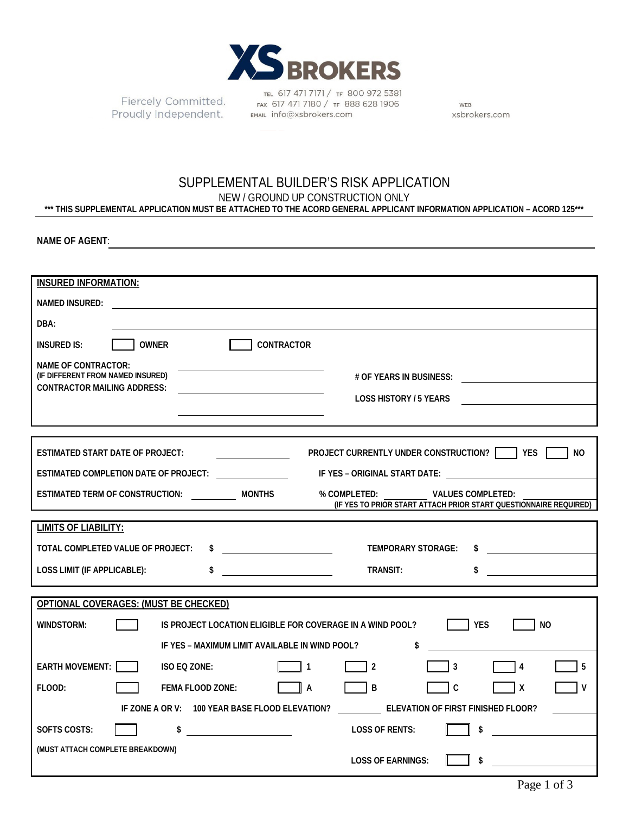

Proudly Independent. EMAIL Info@xsbrokers.com

TEL 617 471 7171 / TF 800 972 5381 Fiercely Committed. FAX 617 471 7180 / TF 800 972 3381

WEB xsbrokers.com

## SUPPLEMENTAL BUILDER'S RISK APPLICATION NEW / GROUND UP CONSTRUCTION ONLY **\*\*\* THIS SUPPLEMENTAL APPLICATION MUST BE ATTACHED TO THE ACORD GENERAL APPLICANT INFORMATION APPLICATION – ACORD 125\*\*\***

**NAME OF AGENT**:

| <b>INSURED INFORMATION:</b>                                                                                                |  |  |  |  |  |
|----------------------------------------------------------------------------------------------------------------------------|--|--|--|--|--|
| NAMED INSURED:                                                                                                             |  |  |  |  |  |
| DBA:                                                                                                                       |  |  |  |  |  |
| <b>OWNER</b><br><b>CONTRACTOR</b><br><b>INSURED IS:</b>                                                                    |  |  |  |  |  |
| <b>NAME OF CONTRACTOR:</b>                                                                                                 |  |  |  |  |  |
| (IF DIFFERENT FROM NAMED INSURED)                                                                                          |  |  |  |  |  |
| <b>CONTRACTOR MAILING ADDRESS:</b><br><b>LOSS HISTORY / 5 YEARS</b><br><u> 1989 - Jan Samuel Barbara, politik e</u> ta pro |  |  |  |  |  |
|                                                                                                                            |  |  |  |  |  |
|                                                                                                                            |  |  |  |  |  |
| <b>PROJECT CURRENTLY UNDER CONSTRUCTION? THES</b><br><b>ESTIMATED START DATE OF PROJECT:</b><br>NO.                        |  |  |  |  |  |
| IF YES - ORIGINAL START DATE:<br>ESTIMATED COMPLETION DATE OF PROJECT:                                                     |  |  |  |  |  |
| ESTIMATED TERM OF CONSTRUCTION: MONTHS<br>% COMPLETED:<br><b>VALUES COMPLETED:</b>                                         |  |  |  |  |  |
| (IF YES TO PRIOR START ATTACH PRIOR START QUESTIONNAIRE REQUIRED)                                                          |  |  |  |  |  |
| <b>LIMITS OF LIABILITY:</b>                                                                                                |  |  |  |  |  |
| TOTAL COMPLETED VALUE OF PROJECT:<br>$\frac{1}{2}$<br>TEMPORARY STORAGE:<br><u>and the state of the state of the state</u> |  |  |  |  |  |
| TRANSIT:<br>LOSS LIMIT (IF APPLICABLE):<br><u> 1999 - Jan Barnett, politik e</u>                                           |  |  |  |  |  |
|                                                                                                                            |  |  |  |  |  |
| OPTIONAL COVERAGES: (MUST BE CHECKED)                                                                                      |  |  |  |  |  |
| <b>Example 18</b><br>WINDSTORM:<br>IS PROJECT LOCATION ELIGIBLE FOR COVERAGE IN A WIND POOL?<br>NO.                        |  |  |  |  |  |
| IF YES - MAXIMUM LIMIT AVAILABLE IN WIND POOL?<br>\$                                                                       |  |  |  |  |  |
| <b>EARTH MOVEMENT:</b><br>ISO EQ ZONE:<br>$\overline{2}$<br>3<br>5<br>4                                                    |  |  |  |  |  |
|                                                                                                                            |  |  |  |  |  |
| B<br>C<br>v<br>FLOOD:<br><b>FEMA FLOOD ZONE:</b><br>A<br>x                                                                 |  |  |  |  |  |
| IF ZONE A OR V: 100 YEAR BASE FLOOD ELEVATION? ELEVATION OF FIRST FINISHED FLOOR?                                          |  |  |  |  |  |
| <b>LOSS OF RENTS:</b><br>SOFTS COSTS:<br>\$<br>\$                                                                          |  |  |  |  |  |
| (MUST ATTACH COMPLETE BREAKDOWN)                                                                                           |  |  |  |  |  |
| <b>LOSS OF EARNINGS:</b><br>\$                                                                                             |  |  |  |  |  |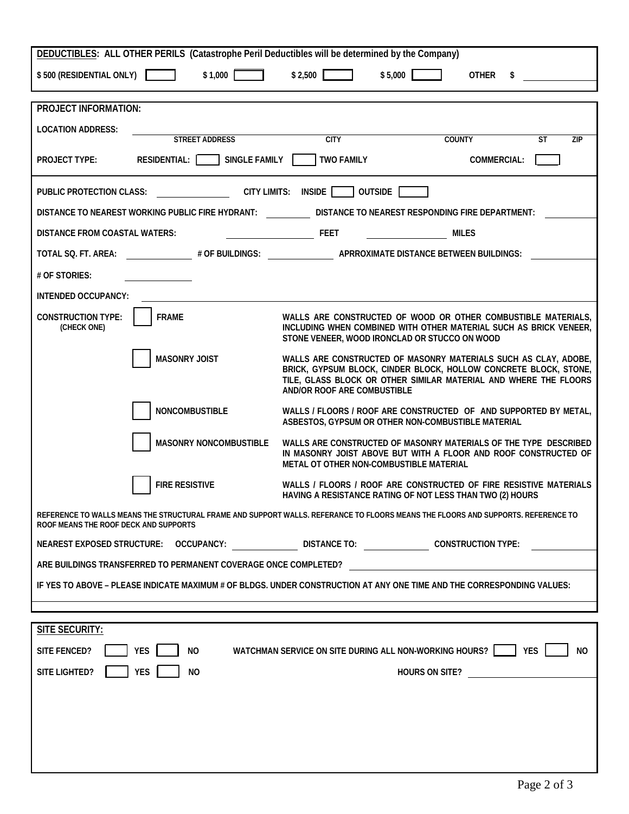| DEDUCTIBLES: ALL OTHER PERILS (Catastrophe Peril Deductibles will be determined by the Company)                                                                           |                                                                                                                                                                                                                                        |  |  |  |  |
|---------------------------------------------------------------------------------------------------------------------------------------------------------------------------|----------------------------------------------------------------------------------------------------------------------------------------------------------------------------------------------------------------------------------------|--|--|--|--|
| \$2,500<br>\$5,000<br>\$500 (RESIDENTIAL ONLY)<br>\$1,000<br><b>OTHER</b><br>\$                                                                                           |                                                                                                                                                                                                                                        |  |  |  |  |
|                                                                                                                                                                           |                                                                                                                                                                                                                                        |  |  |  |  |
| <b>PROJECT INFORMATION:</b>                                                                                                                                               |                                                                                                                                                                                                                                        |  |  |  |  |
| <b>LOCATION ADDRESS:</b>                                                                                                                                                  |                                                                                                                                                                                                                                        |  |  |  |  |
| <b>STREET ADDRESS</b>                                                                                                                                                     | <b>CITY</b><br><b>COUNTY</b><br><b>ST</b><br><b>ZIP</b>                                                                                                                                                                                |  |  |  |  |
| <b>SINGLE FAMILY</b><br>RESIDENTIAL:<br><b>PROJECT TYPE:</b>                                                                                                              | <b>TWO FAMILY</b><br><b>COMMERCIAL:</b>                                                                                                                                                                                                |  |  |  |  |
| OUTSIDE<br><b>PUBLIC PROTECTION CLASS:</b><br><b>CITY LIMITS:</b><br><b>INSIDE</b> I                                                                                      |                                                                                                                                                                                                                                        |  |  |  |  |
| DISTANCE TO NEAREST WORKING PUBLIC FIRE HYDRANT:<br>DISTANCE TO NEAREST RESPONDING FIRE DEPARTMENT:                                                                       |                                                                                                                                                                                                                                        |  |  |  |  |
| <b>DISTANCE FROM COASTAL WATERS:</b>                                                                                                                                      | <b>FEET</b><br><b>MILES</b>                                                                                                                                                                                                            |  |  |  |  |
| TOTAL SQ. FT. AREA:                                                                                                                                                       | # OF BUILDINGS: APRROXIMATE DISTANCE BETWEEN BUILDINGS:                                                                                                                                                                                |  |  |  |  |
| # OF STORIES:                                                                                                                                                             |                                                                                                                                                                                                                                        |  |  |  |  |
| <b>INTENDED OCCUPANCY:</b>                                                                                                                                                |                                                                                                                                                                                                                                        |  |  |  |  |
| <b>CONSTRUCTION TYPE:</b><br><b>FRAME</b><br>(CHECK ONE)                                                                                                                  | WALLS ARE CONSTRUCTED OF WOOD OR OTHER COMBUSTIBLE MATERIALS,<br>INCLUDING WHEN COMBINED WITH OTHER MATERIAL SUCH AS BRICK VENEER,<br>STONE VENEER, WOOD IRONCLAD OR STUCCO ON WOOD                                                    |  |  |  |  |
| <b>MASONRY JOIST</b>                                                                                                                                                      | WALLS ARE CONSTRUCTED OF MASONRY MATERIALS SUCH AS CLAY, ADOBE,<br>BRICK, GYPSUM BLOCK, CINDER BLOCK, HOLLOW CONCRETE BLOCK, STONE,<br>TILE, GLASS BLOCK OR OTHER SIMILAR MATERIAL AND WHERE THE FLOORS<br>AND/OR ROOF ARE COMBUSTIBLE |  |  |  |  |
| <b>NONCOMBUSTIBLE</b>                                                                                                                                                     | WALLS / FLOORS / ROOF ARE CONSTRUCTED OF AND SUPPORTED BY METAL,<br>ASBESTOS, GYPSUM OR OTHER NON-COMBUSTIBLE MATERIAL                                                                                                                 |  |  |  |  |
| <b>MASONRY NONCOMBUSTIBLE</b>                                                                                                                                             | WALLS ARE CONSTRUCTED OF MASONRY MATERIALS OF THE TYPE DESCRIBED<br>IN MASONRY JOIST ABOVE BUT WITH A FLOOR AND ROOF CONSTRUCTED OF<br>METAL OT OTHER NON-COMBUSTIBLE MATERIAL                                                         |  |  |  |  |
| <b>FIRE RESISTIVE</b>                                                                                                                                                     | WALLS / FLOORS / ROOF ARE CONSTRUCTED OF FIRE RESISTIVE MATERIALS<br>HAVING A RESISTANCE RATING OF NOT LESS THAN TWO (2) HOURS                                                                                                         |  |  |  |  |
| REFERENCE TO WALLS MEANS THE STRUCTURAL FRAME AND SUPPORT WALLS. REFERANCE TO FLOORS MEANS THE FLOORS AND SUPPORTS. REFERENCE TO<br>ROOF MEANS THE ROOF DECK AND SUPPORTS |                                                                                                                                                                                                                                        |  |  |  |  |
|                                                                                                                                                                           | NEAREST EXPOSED STRUCTURE: OCCUPANCY: _________________DISTANCE TO: ________________CONSTRUCTION TYPE:                                                                                                                                 |  |  |  |  |
| ARE BUILDINGS TRANSFERRED TO PERMANENT COVERAGE ONCE COMPLETED?                                                                                                           |                                                                                                                                                                                                                                        |  |  |  |  |
| IF YES TO ABOVE – PLEASE INDICATE MAXIMUM # OF BLDGS. UNDER CONSTRUCTION AT ANY ONE TIME AND THE CORRESPONDING VALUES:                                                    |                                                                                                                                                                                                                                        |  |  |  |  |
|                                                                                                                                                                           |                                                                                                                                                                                                                                        |  |  |  |  |
| <b>SITE SECURITY:</b>                                                                                                                                                     |                                                                                                                                                                                                                                        |  |  |  |  |
| WATCHMAN SERVICE ON SITE DURING ALL NON-WORKING HOURS?     YES<br><b>SITE FENCED?</b><br>YES<br><b>NO</b><br>NO.                                                          |                                                                                                                                                                                                                                        |  |  |  |  |
| <b>YES</b><br>SITE LIGHTED?<br><b>NO</b><br>HOURS ON SITE?                                                                                                                |                                                                                                                                                                                                                                        |  |  |  |  |
|                                                                                                                                                                           |                                                                                                                                                                                                                                        |  |  |  |  |
|                                                                                                                                                                           |                                                                                                                                                                                                                                        |  |  |  |  |
|                                                                                                                                                                           |                                                                                                                                                                                                                                        |  |  |  |  |
|                                                                                                                                                                           |                                                                                                                                                                                                                                        |  |  |  |  |
|                                                                                                                                                                           |                                                                                                                                                                                                                                        |  |  |  |  |